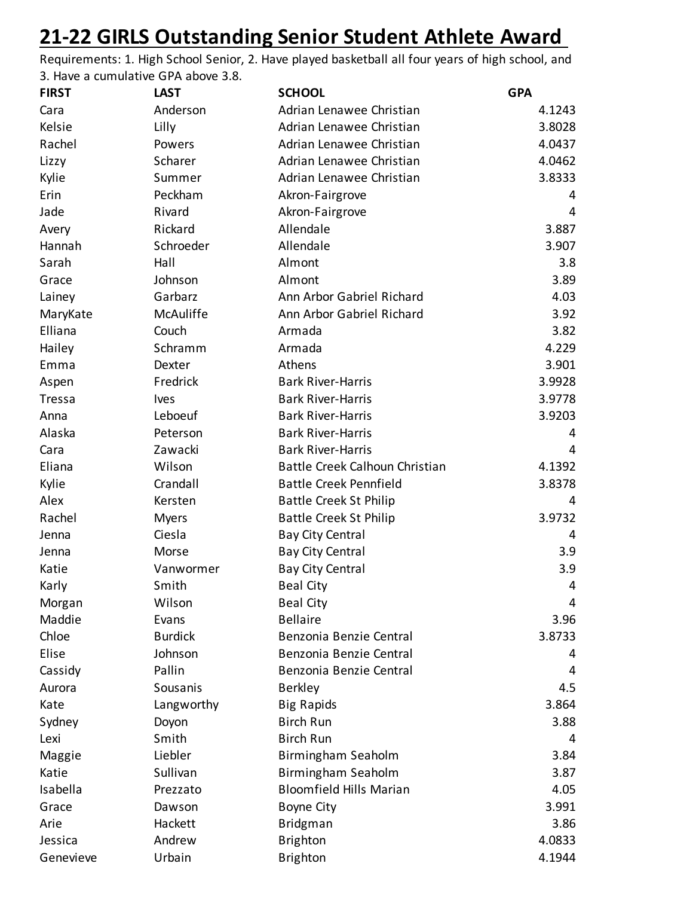## **21-22 GIRLS Outstanding Senior Student Athlete Award**

Requirements: 1. High School Senior, 2. Have played basketball all four years of high school, and 3. Have a cumulative GPA above 3.8.

| <b>FIRST</b>  | <b>LAST</b>    | <b>SCHOOL</b>                  | <b>GPA</b> |
|---------------|----------------|--------------------------------|------------|
| Cara          | Anderson       | Adrian Lenawee Christian       | 4.1243     |
| Kelsie        | Lilly          | Adrian Lenawee Christian       | 3.8028     |
| Rachel        | Powers         | Adrian Lenawee Christian       | 4.0437     |
| Lizzy         | Scharer        | Adrian Lenawee Christian       | 4.0462     |
| Kylie         | Summer         | Adrian Lenawee Christian       | 3.8333     |
| Erin          | Peckham        | Akron-Fairgrove                | 4          |
| Jade          | Rivard         | Akron-Fairgrove                | 4          |
| Avery         | Rickard        | Allendale                      | 3.887      |
| Hannah        | Schroeder      | Allendale                      | 3.907      |
| Sarah         | Hall           | Almont                         | 3.8        |
| Grace         | Johnson        | Almont                         | 3.89       |
| Lainey        | Garbarz        | Ann Arbor Gabriel Richard      | 4.03       |
| MaryKate      | McAuliffe      | Ann Arbor Gabriel Richard      | 3.92       |
| Elliana       | Couch          | Armada                         | 3.82       |
| Hailey        | Schramm        | Armada                         | 4.229      |
| Emma          | Dexter         | Athens                         | 3.901      |
| Aspen         | Fredrick       | <b>Bark River-Harris</b>       | 3.9928     |
| <b>Tressa</b> | <b>Ives</b>    | <b>Bark River-Harris</b>       | 3.9778     |
| Anna          | Leboeuf        | <b>Bark River-Harris</b>       | 3.9203     |
| Alaska        | Peterson       | <b>Bark River-Harris</b>       | 4          |
| Cara          | Zawacki        | <b>Bark River-Harris</b>       | 4          |
| Eliana        | Wilson         | Battle Creek Calhoun Christian | 4.1392     |
| Kylie         | Crandall       | <b>Battle Creek Pennfield</b>  | 3.8378     |
| Alex          | Kersten        | <b>Battle Creek St Philip</b>  | 4          |
| Rachel        | <b>Myers</b>   | <b>Battle Creek St Philip</b>  | 3.9732     |
| Jenna         | Ciesla         | <b>Bay City Central</b>        | 4          |
| Jenna         | Morse          | <b>Bay City Central</b>        | 3.9        |
| Katie         | Vanwormer      | <b>Bay City Central</b>        | 3.9        |
| Karly         | Smith          | <b>Beal City</b>               | 4          |
| Morgan        | Wilson         | <b>Beal City</b>               | 4          |
| Maddie        | Evans          | <b>Bellaire</b>                | 3.96       |
| Chloe         | <b>Burdick</b> | Benzonia Benzie Central        | 3.8733     |
| Elise         | Johnson        | Benzonia Benzie Central        | 4          |
| Cassidy       | Pallin         | Benzonia Benzie Central        | 4          |
| Aurora        | Sousanis       | <b>Berkley</b>                 | 4.5        |
| Kate          | Langworthy     | <b>Big Rapids</b>              | 3.864      |
| Sydney        | Doyon          | <b>Birch Run</b>               | 3.88       |
| Lexi          | Smith          | <b>Birch Run</b>               | 4          |
| Maggie        | Liebler        | Birmingham Seaholm             | 3.84       |
| Katie         | Sullivan       | Birmingham Seaholm             | 3.87       |
| Isabella      | Prezzato       | <b>Bloomfield Hills Marian</b> | 4.05       |
| Grace         | Dawson         | <b>Boyne City</b>              | 3.991      |
| Arie          | Hackett        | <b>Bridgman</b>                | 3.86       |
| Jessica       | Andrew         | <b>Brighton</b>                | 4.0833     |
| Genevieve     | Urbain         | <b>Brighton</b>                | 4.1944     |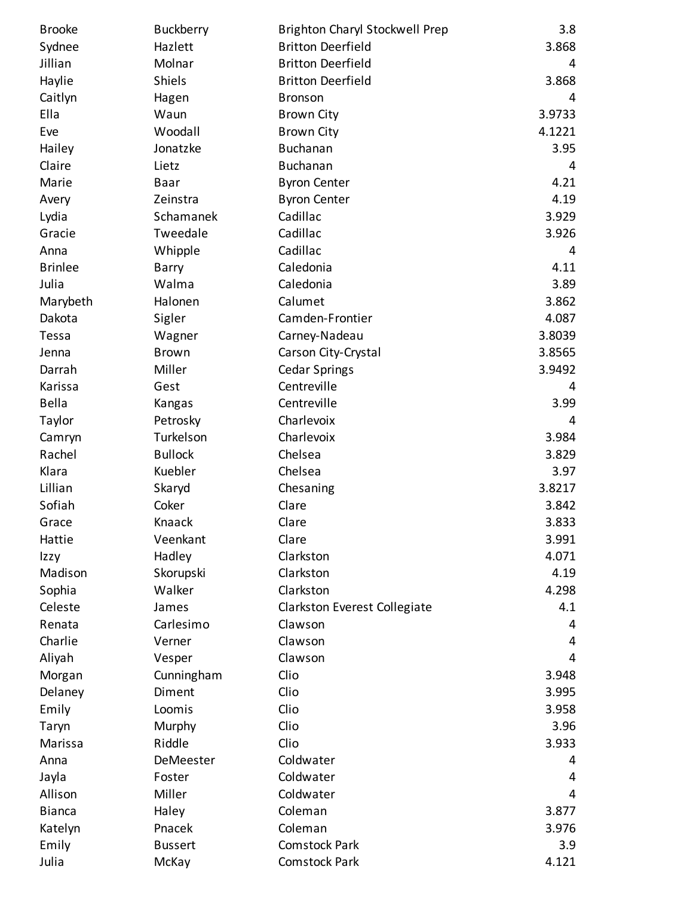| <b>Brooke</b>  | <b>Buckberry</b> | <b>Brighton Charyl Stockwell Prep</b> | 3.8    |
|----------------|------------------|---------------------------------------|--------|
| Sydnee         | Hazlett          | <b>Britton Deerfield</b>              | 3.868  |
| Jillian        | Molnar           | <b>Britton Deerfield</b>              | 4      |
| Haylie         | Shiels           | <b>Britton Deerfield</b>              | 3.868  |
| Caitlyn        | Hagen            | <b>Bronson</b>                        | 4      |
| Ella           | Waun             | <b>Brown City</b>                     | 3.9733 |
| Eve            | Woodall          | <b>Brown City</b>                     | 4.1221 |
| Hailey         | Jonatzke         | <b>Buchanan</b>                       | 3.95   |
| Claire         | Lietz            | <b>Buchanan</b>                       | 4      |
| Marie          | <b>Baar</b>      | <b>Byron Center</b>                   | 4.21   |
| Avery          | Zeinstra         | <b>Byron Center</b>                   | 4.19   |
| Lydia          | Schamanek        | Cadillac                              | 3.929  |
| Gracie         | Tweedale         | Cadillac                              | 3.926  |
| Anna           | Whipple          | Cadillac                              | 4      |
| <b>Brinlee</b> | Barry            | Caledonia                             | 4.11   |
| Julia          | Walma            | Caledonia                             | 3.89   |
| Marybeth       | Halonen          | Calumet                               | 3.862  |
| Dakota         | Sigler           | Camden-Frontier                       | 4.087  |
| Tessa          | Wagner           | Carney-Nadeau                         | 3.8039 |
| Jenna          | <b>Brown</b>     | Carson City-Crystal                   | 3.8565 |
| Darrah         | Miller           | <b>Cedar Springs</b>                  | 3.9492 |
| Karissa        | Gest             | Centreville                           | 4      |
| <b>Bella</b>   | Kangas           | Centreville                           | 3.99   |
| Taylor         | Petrosky         | Charlevoix                            | 4      |
| Camryn         | Turkelson        | Charlevoix                            | 3.984  |
| Rachel         | <b>Bullock</b>   | Chelsea                               | 3.829  |
| Klara          | Kuebler          | Chelsea                               | 3.97   |
| Lillian        | Skaryd           | Chesaning                             | 3.8217 |
| Sofiah         | Coker            | Clare                                 | 3.842  |
| Grace          | Knaack           | Clare                                 | 3.833  |
| Hattie         | Veenkant         | Clare                                 | 3.991  |
| Izzy           | Hadley           | Clarkston                             | 4.071  |
| Madison        | Skorupski        | Clarkston                             | 4.19   |
| Sophia         | Walker           | Clarkston                             | 4.298  |
| Celeste        | James            | Clarkston Everest Collegiate          | 4.1    |
| Renata         | Carlesimo        | Clawson                               | 4      |
| Charlie        | Verner           | Clawson                               | 4      |
| Aliyah         | Vesper           | Clawson                               | 4      |
| Morgan         | Cunningham       | Clio                                  | 3.948  |
| Delaney        | Diment           | Clio                                  | 3.995  |
| Emily          | Loomis           | Clio                                  | 3.958  |
| Taryn          | Murphy           | Clio                                  | 3.96   |
| Marissa        | Riddle           | Clio                                  | 3.933  |
| Anna           | DeMeester        | Coldwater                             | 4      |
| Jayla          | Foster           | Coldwater                             | 4      |
| Allison        | Miller           | Coldwater                             | 4      |
| <b>Bianca</b>  | Haley            | Coleman                               | 3.877  |
| Katelyn        | Pnacek           | Coleman                               | 3.976  |
| Emily          | <b>Bussert</b>   | <b>Comstock Park</b>                  | 3.9    |
| Julia          | McKay            | Comstock Park                         | 4.121  |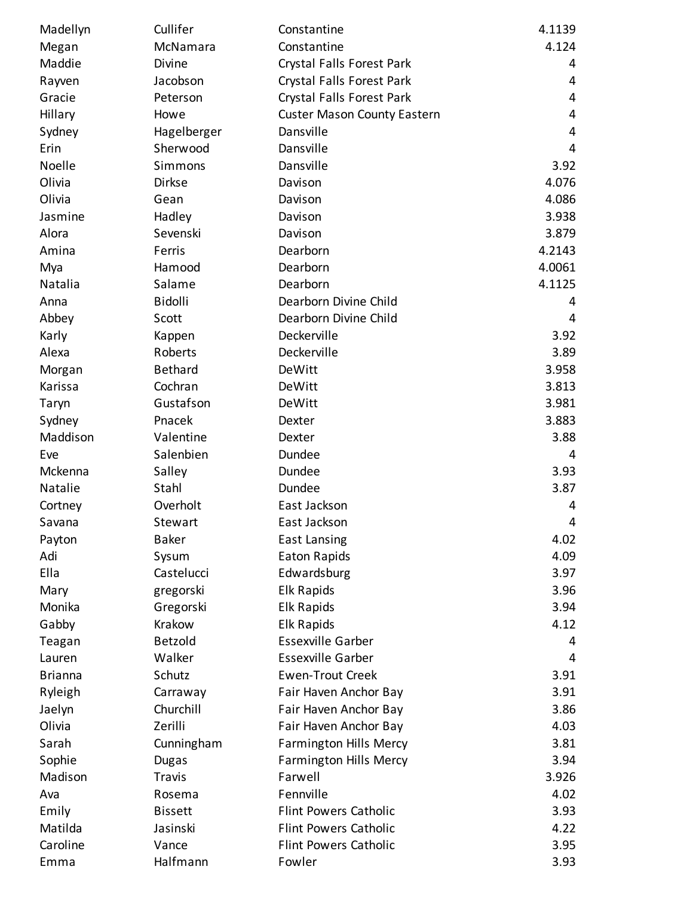| Madellyn       | Cullifer       | Constantine                        | 4.1139 |
|----------------|----------------|------------------------------------|--------|
| Megan          | McNamara       | Constantine                        | 4.124  |
| Maddie         | Divine         | Crystal Falls Forest Park          | 4      |
| Rayven         | Jacobson       | Crystal Falls Forest Park          | 4      |
| Gracie         | Peterson       | Crystal Falls Forest Park          | 4      |
| Hillary        | Howe           | <b>Custer Mason County Eastern</b> | 4      |
| Sydney         | Hagelberger    | Dansville                          | 4      |
| Erin           | Sherwood       | Dansville                          | 4      |
| Noelle         | Simmons        | Dansville                          | 3.92   |
| Olivia         | Dirkse         | Davison                            | 4.076  |
| Olivia         | Gean           | Davison                            | 4.086  |
| Jasmine        | Hadley         | Davison                            | 3.938  |
| Alora          | Sevenski       | Davison                            | 3.879  |
| Amina          | Ferris         | Dearborn                           | 4.2143 |
| Mya            | Hamood         | Dearborn                           | 4.0061 |
| Natalia        | Salame         | Dearborn                           | 4.1125 |
| Anna           | Bidolli        | Dearborn Divine Child              | 4      |
| Abbey          | Scott          | Dearborn Divine Child              | 4      |
| Karly          | Kappen         | Deckerville                        | 3.92   |
| Alexa          | Roberts        | Deckerville                        | 3.89   |
| Morgan         | <b>Bethard</b> | DeWitt                             | 3.958  |
| Karissa        | Cochran        | DeWitt                             | 3.813  |
| Taryn          | Gustafson      | DeWitt                             | 3.981  |
| Sydney         | Pnacek         | Dexter                             | 3.883  |
| Maddison       | Valentine      | Dexter                             | 3.88   |
| Eve            | Salenbien      | Dundee                             | 4      |
| Mckenna        | Salley         | Dundee                             | 3.93   |
| Natalie        | Stahl          | Dundee                             | 3.87   |
| Cortney        | Overholt       | East Jackson                       | 4      |
| Savana         | Stewart        | East Jackson                       | 4      |
| Payton         | <b>Baker</b>   | <b>East Lansing</b>                | 4.02   |
| Adi            | Sysum          | <b>Eaton Rapids</b>                | 4.09   |
| Ella           | Castelucci     | Edwardsburg                        | 3.97   |
| Mary           | gregorski      | Elk Rapids                         | 3.96   |
| Monika         | Gregorski      | <b>Elk Rapids</b>                  | 3.94   |
| Gabby          | Krakow         | <b>Elk Rapids</b>                  | 4.12   |
| Teagan         | <b>Betzold</b> | <b>Essexville Garber</b>           | 4      |
| Lauren         | Walker         | <b>Essexville Garber</b>           | 4      |
| <b>Brianna</b> | Schutz         | <b>Ewen-Trout Creek</b>            | 3.91   |
| Ryleigh        | Carraway       | Fair Haven Anchor Bay              | 3.91   |
| Jaelyn         | Churchill      | Fair Haven Anchor Bay              | 3.86   |
| Olivia         | Zerilli        | Fair Haven Anchor Bay              | 4.03   |
| Sarah          | Cunningham     | <b>Farmington Hills Mercy</b>      | 3.81   |
| Sophie         | <b>Dugas</b>   | <b>Farmington Hills Mercy</b>      | 3.94   |
| Madison        | <b>Travis</b>  | Farwell                            | 3.926  |
| Ava            | Rosema         | Fennville                          | 4.02   |
| Emily          | <b>Bissett</b> | <b>Flint Powers Catholic</b>       | 3.93   |
| Matilda        | Jasinski       | <b>Flint Powers Catholic</b>       | 4.22   |
| Caroline       | Vance          | <b>Flint Powers Catholic</b>       | 3.95   |
| Emma           | Halfmann       | Fowler                             | 3.93   |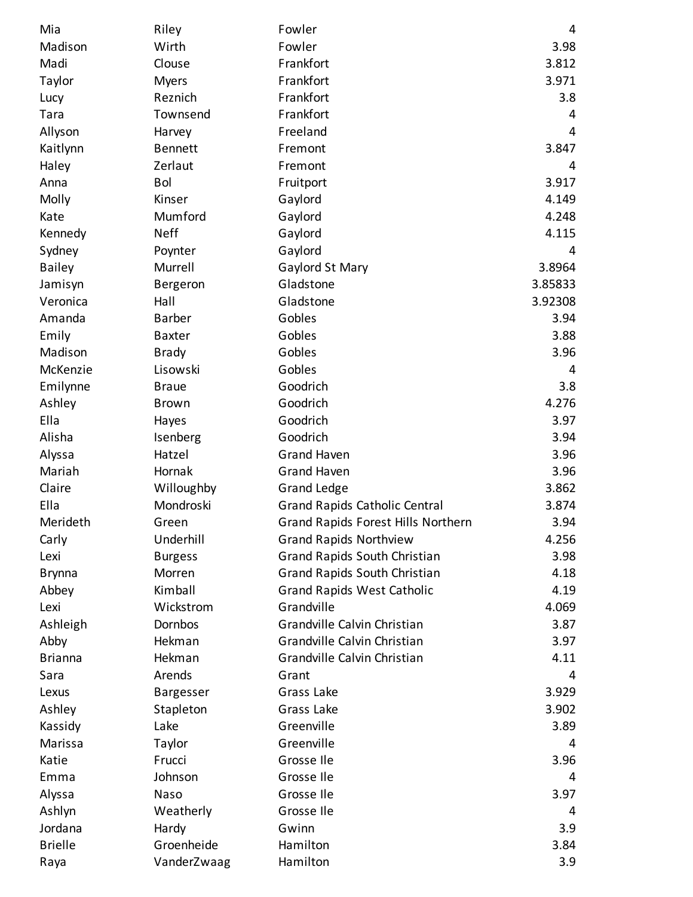| Mia            | Riley            | Fowler                                    | 4       |
|----------------|------------------|-------------------------------------------|---------|
| Madison        | Wirth            | Fowler                                    | 3.98    |
| Madi           | Clouse           | Frankfort                                 | 3.812   |
| Taylor         | <b>Myers</b>     | Frankfort                                 | 3.971   |
| Lucy           | Reznich          | Frankfort                                 | 3.8     |
| Tara           | Townsend         | Frankfort                                 | 4       |
| Allyson        | Harvey           | Freeland                                  | 4       |
| Kaitlynn       | <b>Bennett</b>   | Fremont                                   | 3.847   |
| Haley          | Zerlaut          | Fremont                                   | 4       |
| Anna           | Bol              | Fruitport                                 | 3.917   |
| Molly          | Kinser           | Gaylord                                   | 4.149   |
| Kate           | Mumford          | Gaylord                                   | 4.248   |
| Kennedy        | <b>Neff</b>      | Gaylord                                   | 4.115   |
| Sydney         | Poynter          | Gaylord                                   | 4       |
| <b>Bailey</b>  | Murrell          | Gaylord St Mary                           | 3.8964  |
| Jamisyn        | Bergeron         | Gladstone                                 | 3.85833 |
| Veronica       | Hall             | Gladstone                                 | 3.92308 |
| Amanda         | <b>Barber</b>    | Gobles                                    | 3.94    |
| Emily          | <b>Baxter</b>    | Gobles                                    | 3.88    |
| Madison        | <b>Brady</b>     | Gobles                                    | 3.96    |
| McKenzie       | Lisowski         | Gobles                                    | 4       |
| Emilynne       | <b>Braue</b>     | Goodrich                                  | 3.8     |
| Ashley         | <b>Brown</b>     | Goodrich                                  | 4.276   |
| Ella           | Hayes            | Goodrich                                  | 3.97    |
| Alisha         | Isenberg         | Goodrich                                  | 3.94    |
| Alyssa         | Hatzel           | <b>Grand Haven</b>                        | 3.96    |
| Mariah         | Hornak           | <b>Grand Haven</b>                        | 3.96    |
| Claire         | Willoughby       | <b>Grand Ledge</b>                        | 3.862   |
| Ella           | Mondroski        | <b>Grand Rapids Catholic Central</b>      | 3.874   |
| Merideth       | Green            | <b>Grand Rapids Forest Hills Northern</b> | 3.94    |
| Carly          | Underhill        | <b>Grand Rapids Northview</b>             | 4.256   |
| Lexi           | <b>Burgess</b>   | <b>Grand Rapids South Christian</b>       | 3.98    |
| <b>Brynna</b>  | Morren           | Grand Rapids South Christian              | 4.18    |
| Abbey          | Kimball          | <b>Grand Rapids West Catholic</b>         | 4.19    |
| Lexi           | Wickstrom        | Grandville                                | 4.069   |
| Ashleigh       | Dornbos          | Grandville Calvin Christian               | 3.87    |
| Abby           | Hekman           | Grandville Calvin Christian               | 3.97    |
| <b>Brianna</b> | Hekman           | Grandville Calvin Christian               | 4.11    |
| Sara           | Arends           | Grant                                     | 4       |
| Lexus          | <b>Bargesser</b> | Grass Lake                                | 3.929   |
| Ashley         | Stapleton        | Grass Lake                                | 3.902   |
| Kassidy        | Lake             | Greenville                                | 3.89    |
| Marissa        | Taylor           | Greenville                                | 4       |
| Katie          | Frucci           | Grosse Ile                                | 3.96    |
| Emma           | Johnson          | Grosse Ile                                | 4       |
| Alyssa         | Naso             | Grosse Ile                                | 3.97    |
| Ashlyn         | Weatherly        | Grosse Ile                                | 4       |
| Jordana        | Hardy            | Gwinn                                     | 3.9     |
| <b>Brielle</b> | Groenheide       | Hamilton                                  | 3.84    |
| Raya           | VanderZwaag      | Hamilton                                  | 3.9     |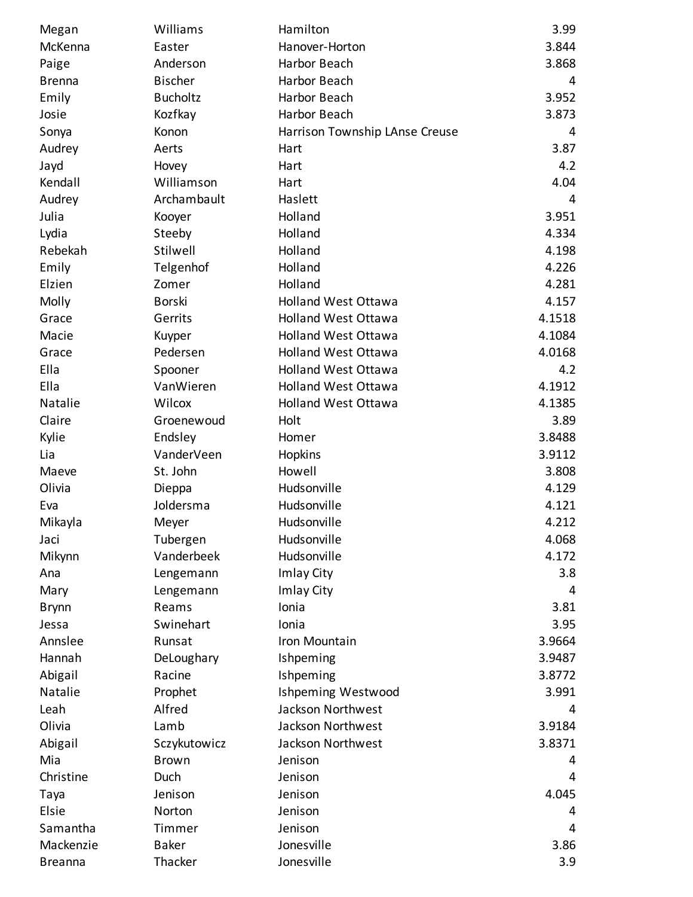| Megan          | Williams        | Hamilton                       | 3.99   |
|----------------|-----------------|--------------------------------|--------|
| McKenna        | Easter          | Hanover-Horton                 | 3.844  |
| Paige          | Anderson        | Harbor Beach                   | 3.868  |
| <b>Brenna</b>  | <b>Bischer</b>  | Harbor Beach                   | 4      |
| Emily          | <b>Bucholtz</b> | Harbor Beach                   | 3.952  |
| Josie          | Kozfkay         | Harbor Beach                   | 3.873  |
| Sonya          | Konon           | Harrison Township LAnse Creuse | 4      |
| Audrey         | Aerts           | Hart                           | 3.87   |
| Jayd           | Hovey           | Hart                           | 4.2    |
| Kendall        | Williamson      | Hart                           | 4.04   |
| Audrey         | Archambault     | Haslett                        | 4      |
| Julia          | Kooyer          | Holland                        | 3.951  |
| Lydia          | Steeby          | Holland                        | 4.334  |
| Rebekah        | Stilwell        | Holland                        | 4.198  |
| Emily          | Telgenhof       | Holland                        | 4.226  |
| Elzien         | Zomer           | Holland                        | 4.281  |
| Molly          | <b>Borski</b>   | <b>Holland West Ottawa</b>     | 4.157  |
| Grace          | Gerrits         | <b>Holland West Ottawa</b>     | 4.1518 |
| Macie          | Kuyper          | <b>Holland West Ottawa</b>     | 4.1084 |
| Grace          | Pedersen        | <b>Holland West Ottawa</b>     | 4.0168 |
| Ella           | Spooner         | <b>Holland West Ottawa</b>     | 4.2    |
| Ella           | VanWieren       | <b>Holland West Ottawa</b>     | 4.1912 |
| Natalie        | Wilcox          | <b>Holland West Ottawa</b>     | 4.1385 |
| Claire         | Groenewoud      | Holt                           | 3.89   |
| Kylie          | Endsley         | Homer                          | 3.8488 |
| Lia            | VanderVeen      | Hopkins                        | 3.9112 |
| Maeve          | St. John        | Howell                         | 3.808  |
| Olivia         | Dieppa          | Hudsonville                    | 4.129  |
| Eva            | Joldersma       | Hudsonville                    | 4.121  |
| Mikayla        | Meyer           | Hudsonville                    | 4.212  |
| Jaci           | Tubergen        | Hudsonville                    | 4.068  |
| Mikynn         | Vanderbeek      | Hudsonville                    | 4.172  |
| Ana            | Lengemann       | Imlay City                     | 3.8    |
| Mary           | Lengemann       | Imlay City                     | 4      |
| <b>Brynn</b>   | Reams           | Ionia                          | 3.81   |
| Jessa          | Swinehart       | Ionia                          | 3.95   |
| Annslee        | Runsat          | Iron Mountain                  | 3.9664 |
| Hannah         | DeLoughary      | Ishpeming                      | 3.9487 |
| Abigail        | Racine          | Ishpeming                      | 3.8772 |
| Natalie        | Prophet         | Ishpeming Westwood             | 3.991  |
| Leah           | Alfred          | Jackson Northwest              | 4      |
| Olivia         | Lamb            | Jackson Northwest              | 3.9184 |
| Abigail        | Sczykutowicz    | Jackson Northwest              | 3.8371 |
| Mia            | <b>Brown</b>    | Jenison                        | 4      |
| Christine      | Duch            | Jenison                        | 4      |
| Taya           | Jenison         | Jenison                        | 4.045  |
| Elsie          | Norton          | Jenison                        | 4      |
| Samantha       | Timmer          | Jenison                        | 4      |
| Mackenzie      | <b>Baker</b>    | Jonesville                     | 3.86   |
| <b>Breanna</b> | Thacker         | Jonesville                     | 3.9    |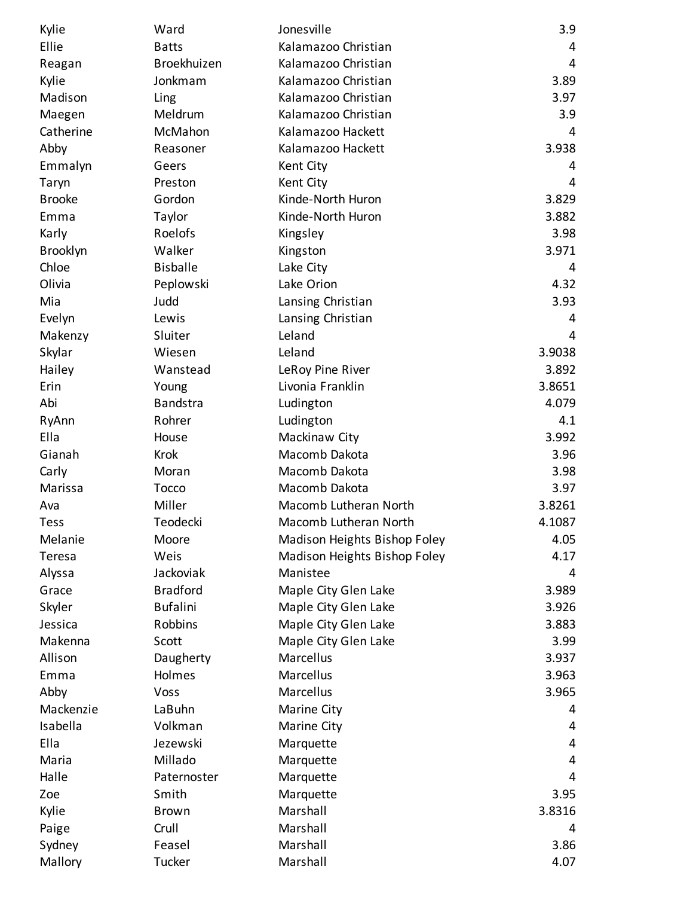| Kylie         | Ward            | Jonesville                   | 3.9    |
|---------------|-----------------|------------------------------|--------|
| Ellie         | <b>Batts</b>    | Kalamazoo Christian          | 4      |
| Reagan        | Broekhuizen     | Kalamazoo Christian          | 4      |
| Kylie         | Jonkmam         | Kalamazoo Christian          | 3.89   |
| Madison       | Ling            | Kalamazoo Christian          | 3.97   |
| Maegen        | Meldrum         | Kalamazoo Christian          | 3.9    |
| Catherine     | McMahon         | Kalamazoo Hackett            | 4      |
| Abby          | Reasoner        | Kalamazoo Hackett            | 3.938  |
| Emmalyn       | Geers           | Kent City                    | 4      |
| Taryn         | Preston         | Kent City                    | 4      |
| <b>Brooke</b> | Gordon          | Kinde-North Huron            | 3.829  |
| Emma          | Taylor          | Kinde-North Huron            | 3.882  |
| Karly         | Roelofs         | Kingsley                     | 3.98   |
| Brooklyn      | Walker          | Kingston                     | 3.971  |
| Chloe         | <b>Bisballe</b> | Lake City                    | 4      |
| Olivia        | Peplowski       | Lake Orion                   | 4.32   |
| Mia           | Judd            | Lansing Christian            | 3.93   |
| Evelyn        | Lewis           | Lansing Christian            | 4      |
| Makenzy       | Sluiter         | Leland                       | 4      |
| Skylar        | Wiesen          | Leland                       | 3.9038 |
| Hailey        | Wanstead        | LeRoy Pine River             | 3.892  |
| Erin          | Young           | Livonia Franklin             | 3.8651 |
| Abi           | <b>Bandstra</b> | Ludington                    | 4.079  |
| RyAnn         | Rohrer          | Ludington                    | 4.1    |
| Ella          | House           | Mackinaw City                | 3.992  |
| Gianah        | <b>Krok</b>     | Macomb Dakota                | 3.96   |
| Carly         | Moran           | Macomb Dakota                | 3.98   |
| Marissa       | Tocco           | Macomb Dakota                | 3.97   |
| Ava           | Miller          | Macomb Lutheran North        | 3.8261 |
| <b>Tess</b>   | Teodecki        | Macomb Lutheran North        | 4.1087 |
| Melanie       | Moore           | Madison Heights Bishop Foley | 4.05   |
| Teresa        | Weis            | Madison Heights Bishop Foley | 4.17   |
| Alyssa        | Jackoviak       | Manistee                     | 4      |
| Grace         | <b>Bradford</b> | Maple City Glen Lake         | 3.989  |
| Skyler        | <b>Bufalini</b> | Maple City Glen Lake         | 3.926  |
| Jessica       | Robbins         | Maple City Glen Lake         | 3.883  |
| Makenna       | Scott           | Maple City Glen Lake         | 3.99   |
| Allison       | Daugherty       | Marcellus                    | 3.937  |
| Emma          | Holmes          | Marcellus                    | 3.963  |
| Abby          | Voss            | Marcellus                    | 3.965  |
| Mackenzie     | LaBuhn          | Marine City                  | 4      |
| Isabella      | Volkman         | Marine City                  | 4      |
| Ella          | Jezewski        | Marquette                    | 4      |
| Maria         | Millado         | Marquette                    | 4      |
| Halle         | Paternoster     | Marquette                    | 4      |
| Zoe           | Smith           | Marquette                    | 3.95   |
| Kylie         | <b>Brown</b>    | Marshall                     | 3.8316 |
| Paige         | Crull           | Marshall                     | 4      |
| Sydney        | Feasel          | Marshall                     | 3.86   |
| Mallory       | Tucker          | Marshall                     | 4.07   |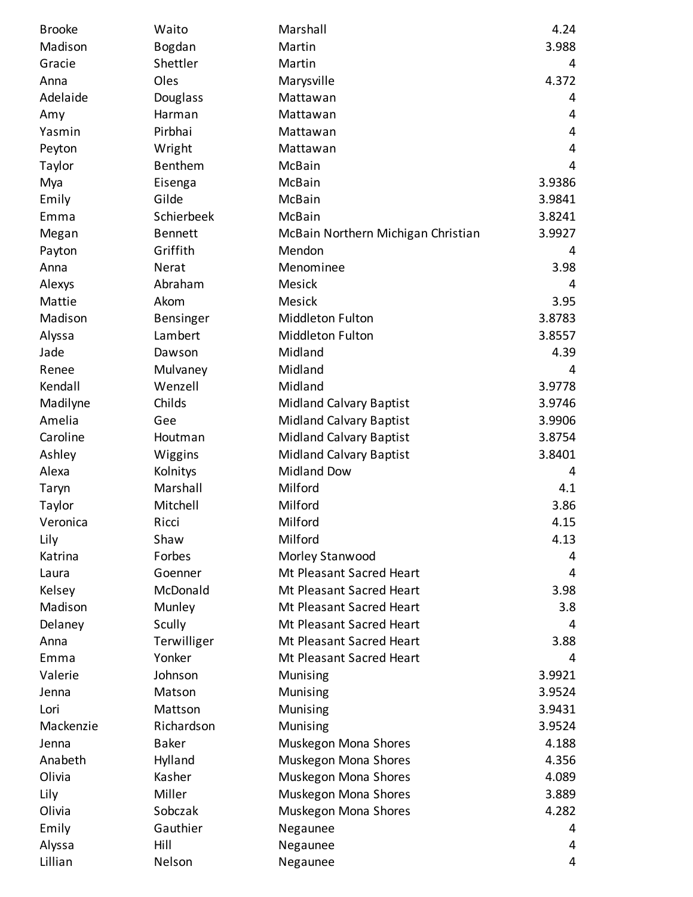| <b>Brooke</b> | Waito          | Marshall                           | 4.24   |
|---------------|----------------|------------------------------------|--------|
| Madison       | Bogdan         | Martin                             | 3.988  |
| Gracie        | Shettler       | Martin                             | 4      |
| Anna          | Oles           | Marysville                         | 4.372  |
| Adelaide      | Douglass       | Mattawan                           | 4      |
| Amy           | Harman         | Mattawan                           | 4      |
| Yasmin        | Pirbhai        | Mattawan                           | 4      |
| Peyton        | Wright         | Mattawan                           | 4      |
| Taylor        | Benthem        | McBain                             | 4      |
| Mya           | Eisenga        | McBain                             | 3.9386 |
| Emily         | Gilde          | McBain                             | 3.9841 |
| Emma          | Schierbeek     | McBain                             | 3.8241 |
| Megan         | <b>Bennett</b> | McBain Northern Michigan Christian | 3.9927 |
| Payton        | Griffith       | Mendon                             | 4      |
| Anna          | Nerat          | Menominee                          | 3.98   |
| Alexys        | Abraham        | Mesick                             | 4      |
| Mattie        | Akom           | <b>Mesick</b>                      | 3.95   |
| Madison       | Bensinger      | Middleton Fulton                   | 3.8783 |
| Alyssa        | Lambert        | Middleton Fulton                   | 3.8557 |
| Jade          | Dawson         | Midland                            | 4.39   |
| Renee         | Mulvaney       | Midland                            | 4      |
| Kendall       | Wenzell        | Midland                            | 3.9778 |
| Madilyne      | Childs         | <b>Midland Calvary Baptist</b>     | 3.9746 |
| Amelia        | Gee            | <b>Midland Calvary Baptist</b>     | 3.9906 |
| Caroline      | Houtman        | <b>Midland Calvary Baptist</b>     | 3.8754 |
| Ashley        | Wiggins        | <b>Midland Calvary Baptist</b>     | 3.8401 |
| Alexa         | Kolnitys       | <b>Midland Dow</b>                 | 4      |
| Taryn         | Marshall       | Milford                            | 4.1    |
| Taylor        | Mitchell       | Milford                            | 3.86   |
| Veronica      | Ricci          | Milford                            | 4.15   |
| Lily          | Shaw           | Milford                            | 4.13   |
| Katrina       | Forbes         | Morley Stanwood                    | 4      |
| Laura         | Goenner        | Mt Pleasant Sacred Heart           | 4      |
| Kelsey        | McDonald       | Mt Pleasant Sacred Heart           | 3.98   |
| Madison       | Munley         | Mt Pleasant Sacred Heart           | 3.8    |
| Delaney       | Scully         | Mt Pleasant Sacred Heart           | 4      |
| Anna          | Terwilliger    | Mt Pleasant Sacred Heart           | 3.88   |
| Emma          | Yonker         | Mt Pleasant Sacred Heart           | 4      |
| Valerie       | Johnson        | Munising                           | 3.9921 |
| Jenna         | Matson         | Munising                           | 3.9524 |
| Lori          | Mattson        | Munising                           | 3.9431 |
| Mackenzie     | Richardson     | Munising                           | 3.9524 |
| Jenna         | <b>Baker</b>   | Muskegon Mona Shores               | 4.188  |
| Anabeth       | Hylland        | Muskegon Mona Shores               | 4.356  |
| Olivia        | Kasher         | Muskegon Mona Shores               | 4.089  |
| Lily          | Miller         | Muskegon Mona Shores               | 3.889  |
| Olivia        | Sobczak        | Muskegon Mona Shores               | 4.282  |
| Emily         | Gauthier       | Negaunee                           | 4      |
| Alyssa        | Hill           | Negaunee                           | 4      |
| Lillian       | Nelson         | Negaunee                           | 4      |
|               |                |                                    |        |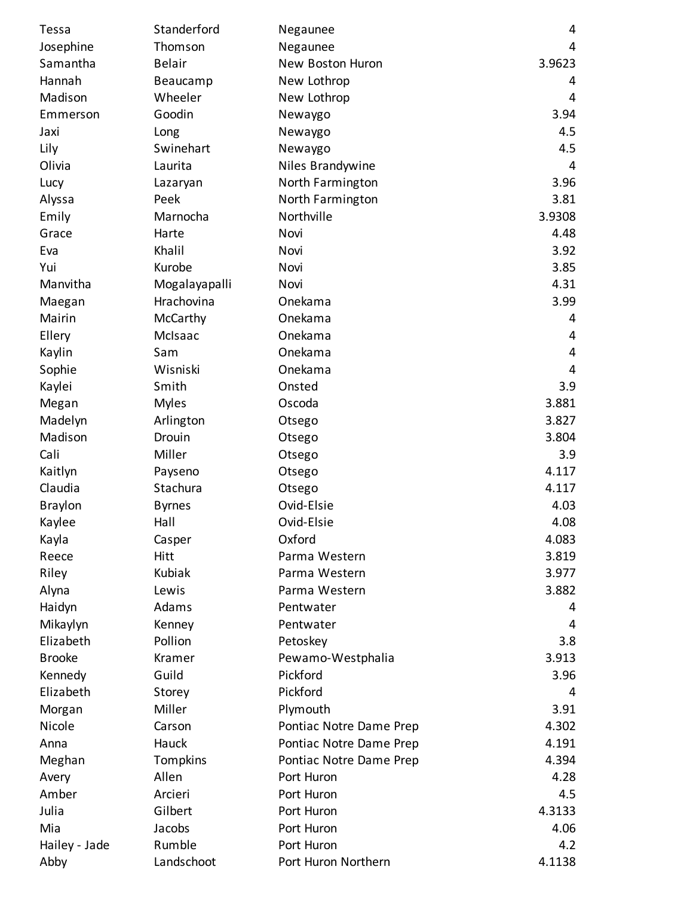| Tessa          | Standerford   | Negaunee                | 4      |
|----------------|---------------|-------------------------|--------|
| Josephine      | Thomson       | Negaunee                | 4      |
| Samantha       | <b>Belair</b> | New Boston Huron        | 3.9623 |
| Hannah         | Beaucamp      | New Lothrop             | 4      |
| Madison        | Wheeler       | New Lothrop             | 4      |
| Emmerson       | Goodin        | Newaygo                 | 3.94   |
| Jaxi           | Long          | Newaygo                 | 4.5    |
| Lily           | Swinehart     | Newaygo                 | 4.5    |
| Olivia         | Laurita       | Niles Brandywine        | 4      |
| Lucy           | Lazaryan      | North Farmington        | 3.96   |
| Alyssa         | Peek          | North Farmington        | 3.81   |
| Emily          | Marnocha      | Northville              | 3.9308 |
| Grace          | Harte         | Novi                    | 4.48   |
| Eva            | Khalil        | Novi                    | 3.92   |
| Yui            | Kurobe        | Novi                    | 3.85   |
| Manvitha       | Mogalayapalli | Novi                    | 4.31   |
| Maegan         | Hrachovina    | Onekama                 | 3.99   |
| Mairin         | McCarthy      | Onekama                 | 4      |
| Ellery         | McIsaac       | Onekama                 | 4      |
| Kaylin         | Sam           | Onekama                 | 4      |
| Sophie         | Wisniski      | Onekama                 | 4      |
| Kaylei         | Smith         | Onsted                  | 3.9    |
| Megan          | <b>Myles</b>  | Oscoda                  | 3.881  |
| Madelyn        | Arlington     | Otsego                  | 3.827  |
| Madison        | Drouin        | Otsego                  | 3.804  |
| Cali           | Miller        | Otsego                  | 3.9    |
| Kaitlyn        | Payseno       | Otsego                  | 4.117  |
| Claudia        | Stachura      | Otsego                  | 4.117  |
| <b>Braylon</b> | <b>Byrnes</b> | Ovid-Elsie              | 4.03   |
| Kaylee         | Hall          | Ovid-Elsie              | 4.08   |
| Kayla          | Casper        | Oxford                  | 4.083  |
| Reece          | <b>Hitt</b>   | Parma Western           | 3.819  |
| Riley          | Kubiak        | Parma Western           | 3.977  |
| Alyna          | Lewis         | Parma Western           | 3.882  |
| Haidyn         | Adams         | Pentwater               | 4      |
| Mikaylyn       | Kenney        | Pentwater               | 4      |
| Elizabeth      | Pollion       | Petoskey                | 3.8    |
| <b>Brooke</b>  | Kramer        | Pewamo-Westphalia       | 3.913  |
| Kennedy        | Guild         | Pickford                | 3.96   |
| Elizabeth      | Storey        | Pickford                | 4      |
| Morgan         | Miller        | Plymouth                | 3.91   |
| Nicole         | Carson        | Pontiac Notre Dame Prep | 4.302  |
| Anna           | Hauck         | Pontiac Notre Dame Prep | 4.191  |
| Meghan         | Tompkins      | Pontiac Notre Dame Prep | 4.394  |
| Avery          | Allen         | Port Huron              | 4.28   |
| Amber          | Arcieri       | Port Huron              | 4.5    |
| Julia          | Gilbert       | Port Huron              | 4.3133 |
| Mia            | Jacobs        | Port Huron              | 4.06   |
| Hailey - Jade  | Rumble        | Port Huron              | 4.2    |
| Abby           | Landschoot    | Port Huron Northern     | 4.1138 |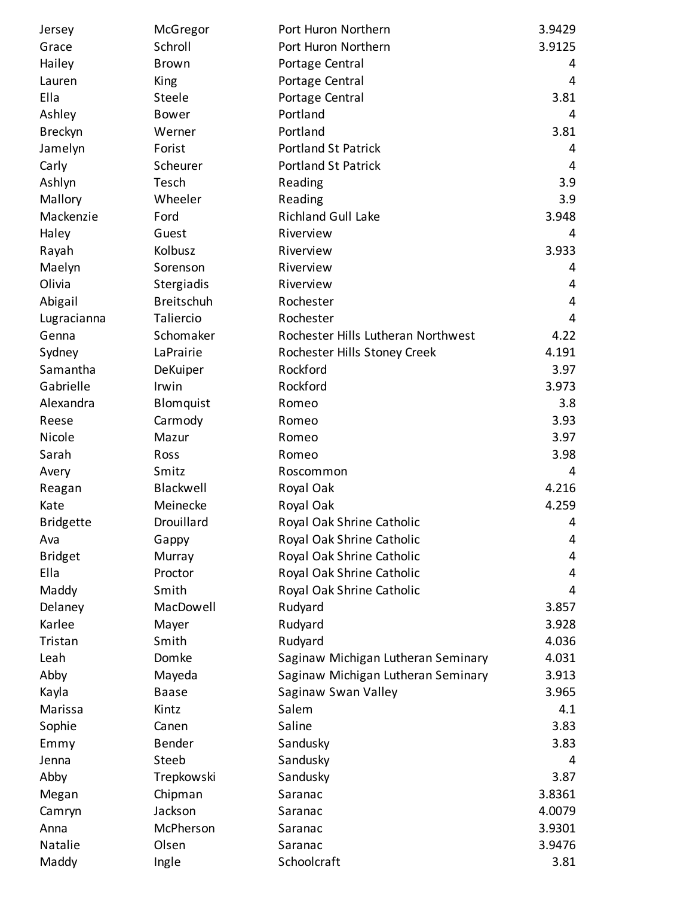| Jersey           | McGregor          | Port Huron Northern                | 3.9429         |
|------------------|-------------------|------------------------------------|----------------|
| Grace            | Schroll           | Port Huron Northern                | 3.9125         |
| Hailey           | Brown             | Portage Central                    | 4              |
| Lauren           | King              | Portage Central                    | 4              |
| Ella             | Steele            | Portage Central                    | 3.81           |
| Ashley           | <b>Bower</b>      | Portland                           | 4              |
| <b>Breckyn</b>   | Werner            | Portland                           | 3.81           |
| Jamelyn          | Forist            | <b>Portland St Patrick</b>         | 4              |
| Carly            | Scheurer          | <b>Portland St Patrick</b>         | 4              |
| Ashlyn           | Tesch             | Reading                            | 3.9            |
| Mallory          | Wheeler           | Reading                            | 3.9            |
| Mackenzie        | Ford              | <b>Richland Gull Lake</b>          | 3.948          |
| Haley            | Guest             | Riverview                          | 4              |
| Rayah            | Kolbusz           | Riverview                          | 3.933          |
| Maelyn           | Sorenson          | Riverview                          | 4              |
| Olivia           | Stergiadis        | Riverview                          | 4              |
| Abigail          | <b>Breitschuh</b> | Rochester                          | 4              |
| Lugracianna      | Taliercio         | Rochester                          | $\overline{4}$ |
| Genna            | Schomaker         | Rochester Hills Lutheran Northwest | 4.22           |
| Sydney           | LaPrairie         | Rochester Hills Stoney Creek       | 4.191          |
| Samantha         | DeKuiper          | Rockford                           | 3.97           |
| Gabrielle        | Irwin             | Rockford                           | 3.973          |
| Alexandra        | Blomquist         | Romeo                              | 3.8            |
| Reese            | Carmody           | Romeo                              | 3.93           |
| Nicole           | Mazur             | Romeo                              | 3.97           |
| Sarah            | Ross              | Romeo                              | 3.98           |
| Avery            | Smitz             | Roscommon                          | 4              |
| Reagan           | Blackwell         | Royal Oak                          | 4.216          |
| Kate             | Meinecke          | Royal Oak                          | 4.259          |
| <b>Bridgette</b> | Drouillard        | Royal Oak Shrine Catholic          | 4              |
| Ava              | Gappy             | Royal Oak Shrine Catholic          | 4              |
| <b>Bridget</b>   | Murray            | Royal Oak Shrine Catholic          | 4              |
| Ella             | Proctor           | Royal Oak Shrine Catholic          | 4              |
| Maddy            | Smith             | Royal Oak Shrine Catholic          | 4              |
| Delaney          | MacDowell         | Rudyard                            | 3.857          |
| Karlee           | Mayer             | Rudyard                            | 3.928          |
| Tristan          | Smith             | Rudyard                            | 4.036          |
| Leah             | Domke             | Saginaw Michigan Lutheran Seminary | 4.031          |
| Abby             | Mayeda            | Saginaw Michigan Lutheran Seminary | 3.913          |
| Kayla            | <b>Baase</b>      | Saginaw Swan Valley                | 3.965          |
| Marissa          | Kintz             | Salem                              | 4.1            |
| Sophie           | Canen             | Saline                             | 3.83           |
| Emmy             | <b>Bender</b>     | Sandusky                           | 3.83           |
| Jenna            | Steeb             | Sandusky                           | 4              |
| Abby             | Trepkowski        | Sandusky                           | 3.87           |
| Megan            | Chipman           | Saranac                            | 3.8361         |
| Camryn           | Jackson           | Saranac                            | 4.0079         |
| Anna             | McPherson         | Saranac                            | 3.9301         |
| Natalie          | Olsen             | Saranac                            | 3.9476         |
| Maddy            | Ingle             | Schoolcraft                        | 3.81           |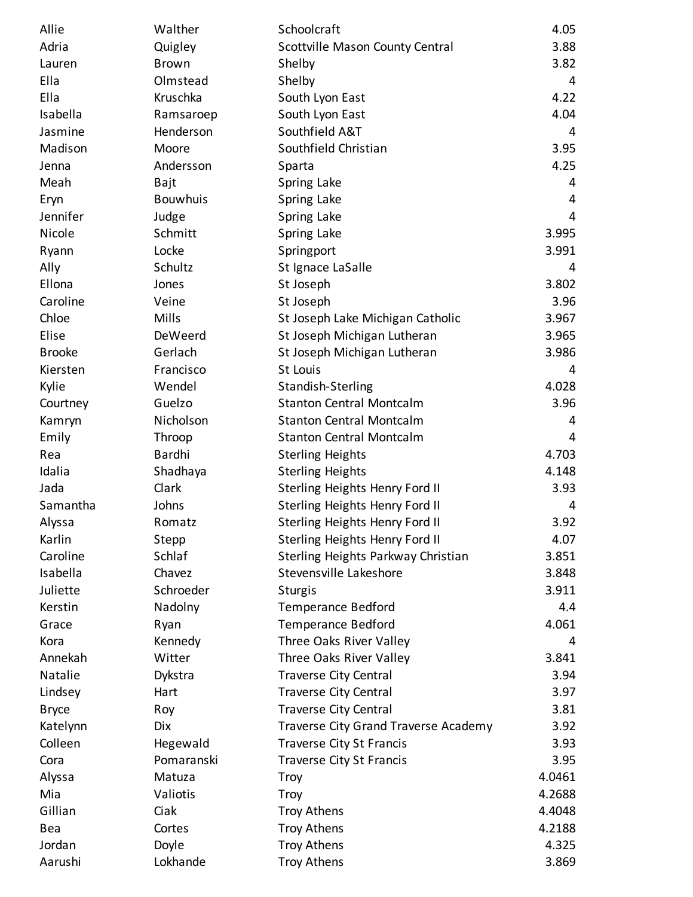| Allie         | Walther         | Schoolcraft                          | 4.05   |
|---------------|-----------------|--------------------------------------|--------|
| Adria         | Quigley         | Scottville Mason County Central      | 3.88   |
| Lauren        | <b>Brown</b>    | Shelby                               | 3.82   |
| Ella          | Olmstead        | Shelby                               | 4      |
| Ella          | Kruschka        | South Lyon East                      | 4.22   |
| Isabella      | Ramsaroep       | South Lyon East                      | 4.04   |
| Jasmine       | Henderson       | Southfield A&T                       | 4      |
| Madison       | Moore           | Southfield Christian                 | 3.95   |
| Jenna         | Andersson       | Sparta                               | 4.25   |
| Meah          | Bajt            | Spring Lake                          | 4      |
| Eryn          | <b>Bouwhuis</b> | Spring Lake                          | 4      |
| Jennifer      | Judge           | Spring Lake                          | 4      |
| Nicole        | Schmitt         | Spring Lake                          | 3.995  |
| Ryann         | Locke           | Springport                           | 3.991  |
| Ally          | Schultz         | St Ignace LaSalle                    | 4      |
| Ellona        | Jones           | St Joseph                            | 3.802  |
| Caroline      | Veine           | St Joseph                            | 3.96   |
| Chloe         | Mills           | St Joseph Lake Michigan Catholic     | 3.967  |
| Elise         | <b>DeWeerd</b>  | St Joseph Michigan Lutheran          | 3.965  |
| <b>Brooke</b> | Gerlach         | St Joseph Michigan Lutheran          | 3.986  |
| Kiersten      | Francisco       | <b>St Louis</b>                      | 4      |
| Kylie         | Wendel          | Standish-Sterling                    | 4.028  |
| Courtney      | Guelzo          | <b>Stanton Central Montcalm</b>      | 3.96   |
| Kamryn        | Nicholson       | <b>Stanton Central Montcalm</b>      | 4      |
| Emily         | Throop          | <b>Stanton Central Montcalm</b>      | 4      |
| Rea           | Bardhi          | <b>Sterling Heights</b>              | 4.703  |
| Idalia        | Shadhaya        | <b>Sterling Heights</b>              | 4.148  |
| Jada          | Clark           | Sterling Heights Henry Ford II       | 3.93   |
| Samantha      | Johns           | Sterling Heights Henry Ford II       | 4      |
| Alyssa        | Romatz          | Sterling Heights Henry Ford II       | 3.92   |
| Karlin        | Stepp           | Sterling Heights Henry Ford II       | 4.07   |
| Caroline      | Schlaf          | Sterling Heights Parkway Christian   | 3.851  |
| Isabella      | Chavez          | Stevensville Lakeshore               | 3.848  |
| Juliette      | Schroeder       | <b>Sturgis</b>                       | 3.911  |
| Kerstin       | Nadolny         | <b>Temperance Bedford</b>            | 4.4    |
| Grace         | Ryan            | <b>Temperance Bedford</b>            | 4.061  |
| Kora          | Kennedy         | Three Oaks River Valley              | 4      |
| Annekah       | Witter          | Three Oaks River Valley              | 3.841  |
| Natalie       | Dykstra         | <b>Traverse City Central</b>         | 3.94   |
| Lindsey       | Hart            | <b>Traverse City Central</b>         | 3.97   |
| <b>Bryce</b>  | Roy             | <b>Traverse City Central</b>         | 3.81   |
| Katelynn      | <b>Dix</b>      | Traverse City Grand Traverse Academy | 3.92   |
| Colleen       | Hegewald        | <b>Traverse City St Francis</b>      | 3.93   |
| Cora          | Pomaranski      | <b>Traverse City St Francis</b>      | 3.95   |
| Alyssa        | Matuza          | <b>Troy</b>                          | 4.0461 |
| Mia           | Valiotis        | <b>Troy</b>                          | 4.2688 |
| Gillian       | Ciak            | <b>Troy Athens</b>                   | 4.4048 |
| Bea           | Cortes          | <b>Troy Athens</b>                   | 4.2188 |
| Jordan        | Doyle           | <b>Troy Athens</b>                   | 4.325  |
| Aarushi       | Lokhande        | <b>Troy Athens</b>                   | 3.869  |